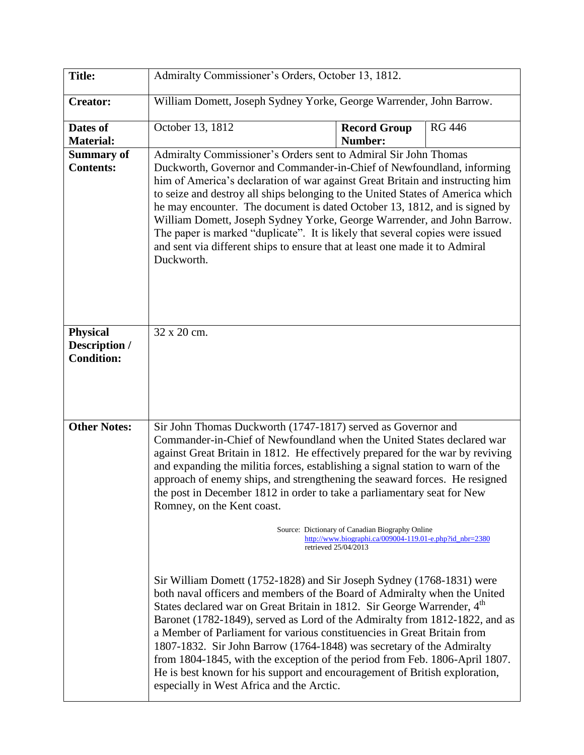| <b>Title:</b>                                         | Admiralty Commissioner's Orders, October 13, 1812.                                                                                                                                                                                                                                                                                                                                                                                                                                                                                                                                                                                                                                                                                                            |                                |               |  |
|-------------------------------------------------------|---------------------------------------------------------------------------------------------------------------------------------------------------------------------------------------------------------------------------------------------------------------------------------------------------------------------------------------------------------------------------------------------------------------------------------------------------------------------------------------------------------------------------------------------------------------------------------------------------------------------------------------------------------------------------------------------------------------------------------------------------------------|--------------------------------|---------------|--|
| <b>Creator:</b>                                       | William Domett, Joseph Sydney Yorke, George Warrender, John Barrow.                                                                                                                                                                                                                                                                                                                                                                                                                                                                                                                                                                                                                                                                                           |                                |               |  |
| Dates of<br><b>Material:</b>                          | October 13, 1812                                                                                                                                                                                                                                                                                                                                                                                                                                                                                                                                                                                                                                                                                                                                              | <b>Record Group</b><br>Number: | <b>RG 446</b> |  |
| <b>Summary of</b><br><b>Contents:</b>                 | Admiralty Commissioner's Orders sent to Admiral Sir John Thomas<br>Duckworth, Governor and Commander-in-Chief of Newfoundland, informing<br>him of America's declaration of war against Great Britain and instructing him<br>to seize and destroy all ships belonging to the United States of America which<br>he may encounter. The document is dated October 13, 1812, and is signed by<br>William Domett, Joseph Sydney Yorke, George Warrender, and John Barrow.<br>The paper is marked "duplicate". It is likely that several copies were issued<br>and sent via different ships to ensure that at least one made it to Admiral<br>Duckworth.                                                                                                            |                                |               |  |
| <b>Physical</b><br>Description /<br><b>Condition:</b> | 32 x 20 cm.                                                                                                                                                                                                                                                                                                                                                                                                                                                                                                                                                                                                                                                                                                                                                   |                                |               |  |
| <b>Other Notes:</b>                                   | Sir John Thomas Duckworth (1747-1817) served as Governor and<br>Commander-in-Chief of Newfoundland when the United States declared war<br>against Great Britain in 1812. He effectively prepared for the war by reviving<br>and expanding the militia forces, establishing a signal station to warn of the<br>approach of enemy ships, and strengthening the seaward forces. He resigned<br>the post in December 1812 in order to take a parliamentary seat for New<br>Romney, on the Kent coast.<br>Source: Dictionary of Canadian Biography Online                                                                                                                                                                                                          |                                |               |  |
|                                                       | http://www.biographi.ca/009004-119.01-e.php?id_nbr=2380<br>retrieved 25/04/2013<br>Sir William Domett (1752-1828) and Sir Joseph Sydney (1768-1831) were<br>both naval officers and members of the Board of Admiralty when the United<br>States declared war on Great Britain in 1812. Sir George Warrender, 4th<br>Baronet (1782-1849), served as Lord of the Admiralty from 1812-1822, and as<br>a Member of Parliament for various constituencies in Great Britain from<br>1807-1832. Sir John Barrow (1764-1848) was secretary of the Admiralty<br>from 1804-1845, with the exception of the period from Feb. 1806-April 1807.<br>He is best known for his support and encouragement of British exploration,<br>especially in West Africa and the Arctic. |                                |               |  |
|                                                       |                                                                                                                                                                                                                                                                                                                                                                                                                                                                                                                                                                                                                                                                                                                                                               |                                |               |  |